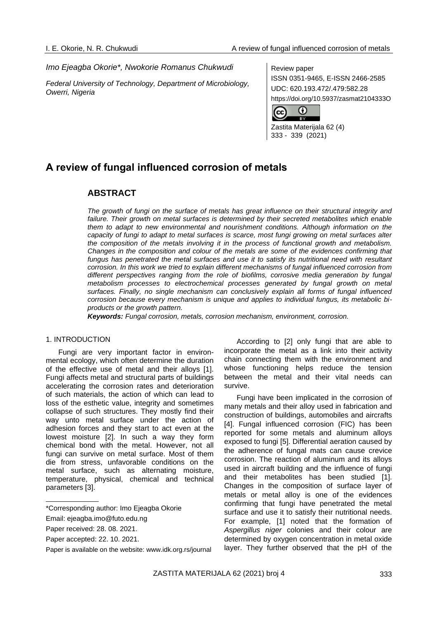## *Imo Ejeagba Okorie\*, Nwokorie Romanus Chukwudi*

*Federal University of Technology, Department of Microbiology, Owerri, Nigeria*

Review paper ISSN 0351-9465, E-ISSN 2466-2585 UDC: 620.193.472/.479:582.28 https://doi.org/10.5937/zasmat2104333O



Zastita Materijala 62 (4) 333 - 339 (2021)

# **A review of fungal influenced corrosion of metals**

# **ABSTRACT**

*The growth of fungi on the surface of metals has great influence on their structural integrity and failure. Their growth on metal surfaces is determined by their secreted metabolites which enable them to adapt to new environmental and nourishment conditions. Although information on the capacity of fungi to adapt to metal surfaces is scarce, most fungi growing on metal surfaces alter the composition of the metals involving it in the process of functional growth and metabolism. Changes in the composition and colour of the metals are some of the evidences confirming that fungus has penetrated the metal surfaces and use it to satisfy its nutritional need with resultant corrosion. In this work we tried to explain different mechanisms of fungal influenced corrosion from*  different perspectives ranging from the role of biofilms, corrosive media generation by fungal *metabolism processes to electrochemical processes generated by fungal growth on metal surfaces. Finally, no single mechanism can conclusively explain all forms of fungal influenced corrosion because every mechanism is unique and applies to individual fungus, its metabolic biproducts or the growth pattern.*

*Keywords: Fungal corrosion, metals, corrosion mechanism, environment, corrosion.*

#### 1. INTRODUCTION

Fungi are very important factor in environmental ecology, which often determine the duration of the effective use of metal and their alloys [1]. Fungi affects metal and structural parts of buildings accelerating the corrosion rates and deterioration of such materials, the action of which can lead to loss of the esthetic value, integrity and sometimes collapse of such structures. They mostly find their way unto metal surface under the action of adhesion forces and they start to act even at the lowest moisture [2]. In such a way they form chemical bond with the metal. However, not all fungi can survive on metal surface. Most of them die from stress, unfavorable conditions on the metal surface, such as alternating moisture, temperature, physical, chemical and technical parameters [3].

According to [2] only fungi that are able to incorporate the metal as a link into their activity chain connecting them with the environment and whose functioning helps reduce the tension between the metal and their vital needs can survive.

Fungi have been implicated in the corrosion of many metals and their alloy used in fabrication and construction of buildings, automobiles and aircrafts [4]. Fungal influenced corrosion (FIC) has been reported for some metals and aluminum alloys exposed to fungi [5]. Differential aeration caused by the adherence of fungal mats can cause crevice corrosion. The reaction of aluminum and its alloys used in aircraft building and the influence of fungi and their metabolites has been studied [1]. Changes in the composition of surface layer of metals or metal alloy is one of the evidences confirming that fungi have penetrated the metal surface and use it to satisfy their nutritional needs. For example, [1] noted that the formation of *Aspergillus niger* colonies and their colour are determined by oxygen concentration in metal oxide layer. They further observed that the pH of the

<sup>\*</sup>Corresponding author: Imo Ejeagba Okorie

Email: [ejeagba.imo@futo.edu.ng](mailto:ejeagba.imo@futo.edu.ng)

Paper received: 28. 08. 2021.

Paper accepted: 22. 10. 2021.

Paper is available on the website: [www.idk.org.rs/journal](http://www.idk.org.rs/journal)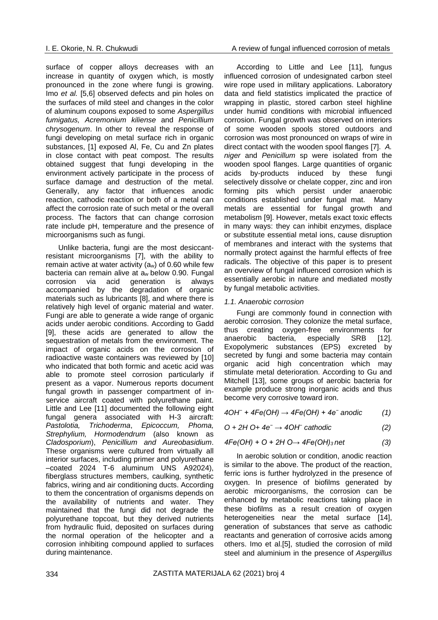surface of copper alloys decreases with an increase in quantity of oxygen which, is mostly pronounced in the zone where fungi is growing. Imo *et al.* [5,6] observed defects and pin holes on the surfaces of mild steel and changes in the color of aluminum coupons exposed to some *Aspergillus fumigatus, Acremonium kiliense* and *Penicillium chrysogenum*. In other to reveal the response of fungi developing on metal surface rich in organic substances, [1] exposed Al, Fe, Cu and Zn plates in close contact with peat compost. The results obtained suggest that fungi developing in the environment actively participate in the process of surface damage and destruction of the metal. Generally, any factor that influences anodic reaction, cathodic reaction or both of a metal can affect the corrosion rate of such metal or the overall process. The factors that can change corrosion rate include pH, temperature and the presence of microorganisms such as fungi.

Unlike bacteria, fungi are the most desiccantresistant microorganisms [7], with the ability to remain active at water activity (aw) of 0.60 while few bacteria can remain alive at aw below 0.90. Fungal corrosion via acid generation is always accompanied by the degradation of organic materials such as lubricants [8], and where there is relatively high level of organic material and water. Fungi are able to generate a wide range of organic acids under aerobic conditions. According to Gadd [9], these acids are generated to allow the sequestration of metals from the environment. The impact of organic acids on the corrosion of radioactive waste containers was reviewed by [10] who indicated that both formic and acetic acid was able to promote steel corrosion particularly if present as a vapor. Numerous reports document fungal growth in passenger compartment of inservice aircraft coated with polyurethane paint. Little and Lee [11] documented the following eight fungal genera associated with H-3 aircraft: *Pastolotia, Trichoderma*, *Epicoccum, Phoma, Strephylium, Hormodendrum* (also known as *Cladosporium*), *Penicillium and Aureobasidium*. These organisms were cultured from virtually all interior surfaces, including primer and polyurethane –coated 2024 T-6 aluminum UNS A92024), fiberglass structures members, caulking, synthetic fabrics, wiring and air conditioning ducts. According to them the concentration of organisms depends on the availability of nutrients and water. They maintained that the fungi did not degrade the polyurethane topcoat, but they derived nutrients from hydraulic fluid, deposited on surfaces during the normal operation of the helicopter and a corrosion inhibiting compound applied to surfaces during maintenance.

According to Little and Lee [11], fungus influenced corrosion of undesignated carbon steel wire rope used in military applications. Laboratory data and field statistics implicated the practice of wrapping in plastic, stored carbon steel highline under humid conditions with microbial influenced corrosion. Fungal growth was observed on interiors of some wooden spools stored outdoors and corrosion was most pronounced on wraps of wire in direct contact with the wooden spool flanges [7]. *A. niger* and *Penicillum* sp were isolated from the wooden spool flanges. Large quantities of organic acids by-products induced by these fungi selectively dissolve or chelate copper, zinc and iron forming pits which persist under anaerobic conditions established under fungal mat. Many metals are essential for fungal growth and metabolism [9]. However, metals exact toxic effects in many ways: they can inhibit enzymes, displace or substitute essential metal ions, cause disruption of membranes and interact with the systems that normally protect against the harmful effects of free radicals. The objective of this paper is to present an overview of fungal influenced corrosion which is essentially aerobic in nature and mediated mostly by fungal metabolic activities.

#### *1.1. Anaerobic corrosion*

Fungi are commonly found in connection with aerobic corrosion. They colonize the metal surface, thus creating oxygen-free environments for anaerobic bacteria, especially SRB [12]. Exopolymeric substances (EPS) excreted by secreted by fungi and some bacteria may contain organic acid high concentration which may stimulate metal deterioration. According to Gu and Mitchell [13], some groups of aerobic bacteria for example produce strong inorganic acids and thus become very corrosive toward iron.

*4OH<sup>−</sup> + 4Fe(OH) → 4Fe(OH) + 4e<sup>−</sup> anodic (1)*

$$
0 + 2H 0 + 4e^- \rightarrow 4OH^- \text{ cathodic} \tag{2}
$$

$$
4Fe(OH) + O + 2H O \rightarrow 4Fe(OH)_3 net
$$
 (3)

In aerobic solution or condition, anodic reaction is similar to the above. The product of the reaction, ferric ions is further hydrolyzed in the presence of oxygen. In presence of biofilms generated by aerobic microorganisms, the corrosion can be enhanced by metabolic reactions taking place in these biofilms as a result creation of oxygen heterogeneities near the metal surface [14], generation of substances that serve as cathodic reactants and generation of corrosive acids among others. Imo et al.[5], studied the corrosion of mild steel and aluminium in the presence of *Aspergillus*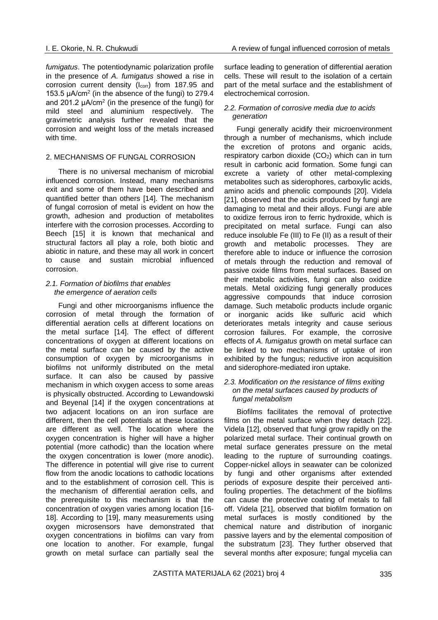*fumigatus*. The potentiodynamic polarization profile in the presence of *A. fumigatus* showed a rise in corrosion current density (I<sub>corr</sub>) from 187.95 and 153.5  $\mu$ A/cm<sup>2</sup> (in the absence of the fungi) to 279.4 and 201.2  $\mu$ A/cm<sup>2</sup> (in the presence of the fungi) for mild steel and aluminium respectively. The gravimetric analysis further revealed that the corrosion and weight loss of the metals increased with time.

### 2. MECHANISMS OF FUNGAL CORROSION

There is no universal mechanism of microbial influenced corrosion. Instead, many mechanisms exit and some of them have been described and quantified better than others [14]. The mechanism of fungal corrosion of metal is evident on how the growth, adhesion and production of metabolites interfere with the corrosion processes. According to Beech [15] it is known that mechanical and structural factors all play a role, both biotic and abiotic in nature, and these may all work in concert to cause and sustain microbial influenced corrosion.

#### *2.1. Formation of biofilms that enables the emergence of aeration cells*

Fungi and other microorganisms influence the corrosion of metal through the formation of differential aeration cells at different locations on the metal surface [14]. The effect of different concentrations of oxygen at different locations on the metal surface can be caused by the active consumption of oxygen by microorganisms in biofilms not uniformly distributed on the metal surface. It can also be caused by passive mechanism in which oxygen access to some areas is physically obstructed. According to Lewandowski and Bevenal [14] if the oxygen concentrations at two adjacent locations on an iron surface are different, then the cell potentials at these locations are different as well. The location where the oxygen concentration is higher will have a higher potential (more cathodic) than the location where the oxygen concentration is lower (more anodic). The difference in potential will give rise to current flow from the anodic locations to cathodic locations and to the establishment of corrosion cell. This is the mechanism of differential aeration cells, and the prerequisite to this mechanism is that the concentration of oxygen varies among location [16-18]. According to [19], many measurements using oxygen microsensors have demonstrated that oxygen concentrations in biofilms can vary from one location to another. For example, fungal growth on metal surface can partially seal the

surface leading to generation of differential aeration cells. These will result to the isolation of a certain part of the metal surface and the establishment of electrochemical corrosion.

## *2.2. Formation of corrosive media due to acids generation*

Fungi generally acidify their microenvironment through a number of mechanisms, which include the excretion of protons and organic acids, respiratory carbon dioxide (CO<sub>2</sub>) which can in turn result in carbonic acid formation. Some fungi can excrete a variety of other metal-complexing metabolites such as siderophores, carboxylic acids, amino acids and phenolic compounds [20]. Videla [21], observed that the acids produced by fungi are damaging to metal and their alloys. Fungi are able to oxidize ferrous iron to ferric hydroxide, which is precipitated on metal surface. Fungi can also reduce insoluble Fe (III) to Fe (II) as a result of their growth and metabolic processes. They are therefore able to induce or influence the corrosion of metals through the reduction and removal of passive oxide films from metal surfaces. Based on their metabolic activities, fungi can also oxidize metals. Metal oxidizing fungi generally produces aggressive compounds that induce corrosion damage. Such metabolic products include organic or inorganic acids like sulfuric acid which deteriorates metals integrity and cause serious corrosion failures. For example, the corrosive effects of *A. fumigatus* growth on metal surface can be linked to two mechanisms of uptake of iron exhibited by the fungus; reductive iron acquisition and siderophore-mediated iron uptake.

#### *2.3. Modification on the resistance of films exiting on the metal surfaces caused by products of fungal metabolism*

Biofilms facilitates the removal of protective films on the metal surface when they detach [22]. Videla [12], observed that fungi grow rapidly on the polarized metal surface. Their continual growth on metal surface generates pressure on the metal leading to the rupture of surrounding coatings. Copper-nickel alloys in seawater can be colonized by fungi and other organisms after extended periods of exposure despite their perceived antifouling properties. The detachment of the biofilms can cause the protective coating of metals to fall off. Videla [21], observed that biofilm formation on metal surfaces is mostly conditioned by the chemical nature and distribution of inorganic passive layers and by the elemental composition of the substratum [23]. They further observed that several months after exposure; fungal mycelia can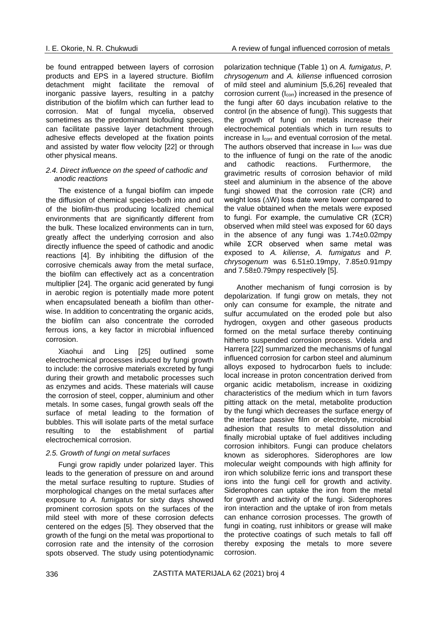be found entrapped between layers of corrosion products and EPS in a layered structure. Biofilm detachment might facilitate the removal of inorganic passive layers, resulting in a patchy distribution of the biofilm which can further lead to corrosion. Mat of fungal mycelia, observed sometimes as the predominant biofouling species, can facilitate passive layer detachment through adhesive effects developed at the fixation points and assisted by water flow velocity [22] or through other physical means.

#### *2.4. Direct influence on the speed of cathodic and anodic reactions*

The existence of a fungal biofilm can impede the diffusion of chemical species-both into and out of the biofilm-thus producing localized chemical environments that are significantly different from the bulk. These localized environments can in turn, greatly affect the underlying corrosion and also directly influence the speed of cathodic and anodic reactions [4]. By inhibiting the diffusion of the corrosive chemicals away from the metal surface, the biofilm can effectively act as a concentration multiplier [24]. The organic acid generated by fungi in aerobic region is potentially made more potent when encapsulated beneath a biofilm than otherwise. In addition to concentrating the organic acids, the biofilm can also concentrate the corroded ferrous ions, a key factor in microbial influenced corrosion.

Xiaohui and Ling [25] outlined some electrochemical processes induced by fungi growth to include: the corrosive materials excreted by fungi during their growth and metabolic processes such as enzymes and acids. These materials will cause the corrosion of steel, copper, aluminium and other metals. In some cases, fungal growth seals off the surface of metal leading to the formation of bubbles. This will isolate parts of the metal surface resulting to the establishment of partial electrochemical corrosion.

#### *2.5. Growth of fungi on metal surfaces*

Fungi grow rapidly under polarized layer. This leads to the generation of pressure on and around the metal surface resulting to rupture. Studies of morphological changes on the metal surfaces after exposure to *A. fumigatus* for sixty days showed prominent corrosion spots on the surfaces of the mild steel with more of these corrosion defects centered on the edges [5]. They observed that the growth of the fungi on the metal was proportional to corrosion rate and the intensity of the corrosion spots observed. The study using potentiodynamic polarization technique (Table 1) on *A. fumigatus*, *P. chrysogenum* and *A. kiliense* influenced corrosion of mild steel and aluminium [5,6,26] revealed that corrosion current (Icorr) increased in the presence of the fungi after 60 days incubation relative to the control (in the absence of fungi). This suggests that the growth of fungi on metals increase their electrochemical potentials which in turn results to increase in Icorr and eventual corrosion of the metal. The authors observed that increase in l<sub>corr</sub> was due to the influence of fungi on the rate of the anodic and cathodic reactions. Furthermore, the gravimetric results of corrosion behavior of mild steel and aluminium in the absence of the above fungi showed that the corrosion rate (CR) and weight loss (∆W) loss date were lower compared to the value obtained when the metals were exposed to fungi. For example, the cumulative CR  $(\SigmaCR)$ observed when mild steel was exposed for 60 days in the absence of any fungi was 1.74±0.02mpy while ΣCR observed when same metal was exposed to *A. kiliense*, *A. fumigatus* and *P. chrysogenum* was 6.51±0.19mpy, 7.85±0.91mpy and 7.58±0.79mpy respectively [5].

Another mechanism of fungi corrosion is by depolarization. If fungi grow on metals, they not only can consume for example, the nitrate and sulfur accumulated on the eroded pole but also hydrogen, oxygen and other gaseous products formed on the metal surface thereby continuing hitherto suspended corrosion process. Videla and Harrera [22] summarized the mechanisms of fungal influenced corrosion for carbon steel and aluminum alloys exposed to hydrocarbon fuels to include: local increase in proton concentration derived from organic acidic metabolism, increase in oxidizing characteristics of the medium which in turn favors pitting attack on the metal, metabolite production by the fungi which decreases the surface energy of the interface passive film or electrolyte, microbial adhesion that results to metal dissolution and finally microbial uptake of fuel additives including corrosion inhibitors. Fungi can produce chelators known as siderophores. Siderophores are low molecular weight compounds with high affinity for iron which solubilize ferric ions and transport these ions into the fungi cell for growth and activity. Siderophores can uptake the iron from the metal for growth and activity of the fungi. Siderophores iron interaction and the uptake of iron from metals can enhance corrosion processes. The growth of fungi in coating, rust inhibitors or grease will make the protective coatings of such metals to fall off thereby exposing the metals to more severe corrosion.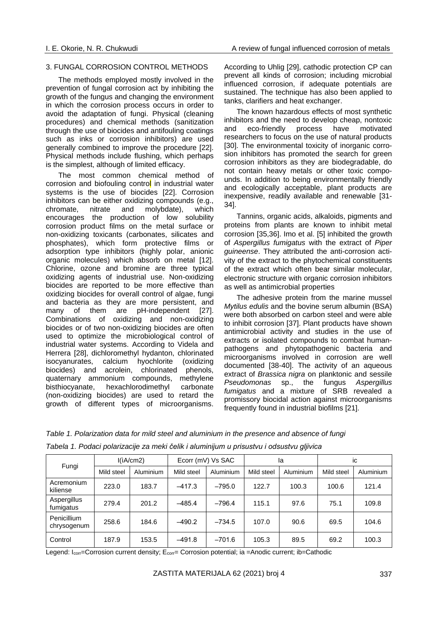#### 3. FUNGAL CORROSION CONTROL METHODS

The methods employed mostly involved in the prevention of fungal corrosion act by inhibiting the growth of the fungus and changing the environment in which the corrosion process occurs in order to avoid the adaptation of fungi. Physical (cleaning procedures) and chemical methods (sanitization through the use of biocides and antifouling coatings such as inks or corrosion inhibitors) are used generally combined to improve the procedure [22]. Physical methods include flushing, which perhaps is the simplest, although of limited efficacy.

The most common chemical method of corrosion and biofouling control in industrial water systems is the use of biocides [22]. Corrosion inhibitors can be either oxidizing compounds (e.g., chromate, nitrate and molybdate), which encourages the production of low solubility corrosion product films on the metal surface or non-oxidizing toxicants (carbonates, silicates and phosphates), which form protective films or adsorption type inhibitors (highly polar, anionic organic molecules) which absorb on metal [12]. Chlorine, ozone and bromine are three typical oxidizing agents of industrial use. Non-oxidizing biocides are reported to be more effective than oxidizing biocides for overall control of algae, fungi and bacteria as they are more persistent, and many of them are pH-independent [27]. Combinations of oxidizing and non-oxidizing biocides or of two non-oxidizing biocides are often used to optimize the microbiological control of industrial water systems. According to Videla and Herrera [28], dichloromethyl hydanton, chlorinated isocyanurates, calcium hyochlorite (oxidizing biocides) and acrolein, chlorinated phenols, quaternary ammonium compounds, methylene bisthiocyanate, hexachlorodimethyl carbonate (non-oxidizing biocides) are used to retard the growth of different types of microorganisms.

According to Uhlig [29], cathodic protection CP can prevent all kinds of corrosion; including microbial influenced corrosion, if adequate potentials are sustained. The technique has also been applied to tanks, clarifiers and heat exchanger.

The known hazardous effects of most synthetic inhibitors and the need to develop cheap, nontoxic and eco-friendly process have motivated researchers to focus on the use of natural products [30]. The environmental toxicity of inorganic corrosion inhibitors has promoted the search for green corrosion inhibitors as they are biodegradable, do not contain heavy metals or other toxic compounds. In addition to being environmentally friendly and ecologically acceptable, plant products are inexpensive, readily available and renewable [31- 34].

Tannins, organic acids, alkaloids, pigments and proteins from plants are known to inhibit metal corrosion [35,36]. Imo et al. [5] inhibited the growth of *Aspergillus fumigatus* with the extract of *Piper guineense*. They attributed the anti-corrosion activity of the extract to the phytochemical constituents of the extract which often bear similar molecular, electronic structure with organic corrosion inhibitors as well as antimicrobial properties

The adhesive protein from the marine mussel *Mytilus edulis* and the bovine serum albumin (BSA) were both absorbed on carbon steel and were able to inhibit corrosion [37]. Plant products have shown antimicrobial activity and studies in the use of extracts or isolated compounds to combat humanpathogens and phytopathogenic bacteria and microorganisms involved in corrosion are well documented [38-40]. The activity of an aqueous extract of *Brassica nigra* on planktonic and sessile *Pseudomonas* sp., the fungus *Aspergillus fumigatus* and a mixture of SRB revealed a promissory biocidal action against microorganisms frequently found in industrial biofilms [21].

| Table 1. Polarization data for mild steel and aluminium in the presence and absence of fungi |  |
|----------------------------------------------------------------------------------------------|--|
| Tabela 1. Podaci polarizacije za meki čelik i aluminijum u prisustvu i odsustvu gljivica     |  |

| Fungi                      | I(iA/cm2)  |           | Ecorr (mV) Vs SAC |           | la         |           | ic         |           |
|----------------------------|------------|-----------|-------------------|-----------|------------|-----------|------------|-----------|
|                            | Mild steel | Aluminium | Mild steel        | Aluminium | Mild steel | Aluminium | Mild steel | Aluminium |
| Acremonium<br>kiliense     | 223.0      | 183.7     | $-417.3$          | $-795.0$  | 122.7      | 100.3     | 100.6      | 121.4     |
| Aspergillus<br>fumigatus   | 279.4      | 201.2     | $-485.4$          | $-796.4$  | 115.1      | 97.6      | 75.1       | 109.8     |
| Penicillium<br>chrysogenum | 258.6      | 184.6     | $-490.2$          | $-734.5$  | 107.0      | 90.6      | 69.5       | 104.6     |
| Control                    | 187.9      | 153.5     | $-491.8$          | $-701.6$  | 105.3      | 89.5      | 69.2       | 100.3     |

Legend: I<sub>corr</sub>=Corrosion current density; E<sub>corr</sub>= Corrosion potential; ia =Anodic current; ib=Cathodic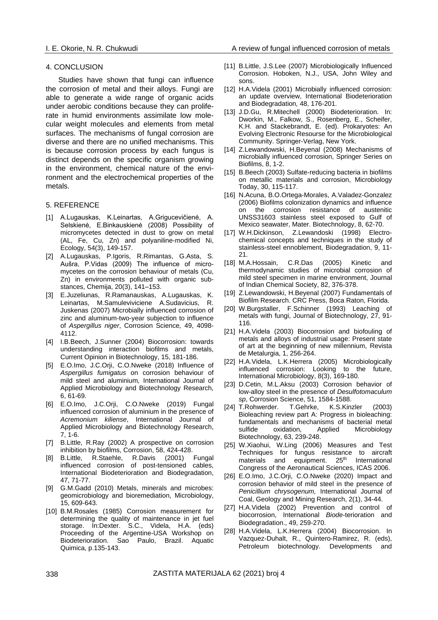#### 4. CONCLUSION

Studies have shown that fungi can influence the corrosion of metal and their alloys. Fungi are able to generate a wide range of organic acids under aerobic conditions because they can proliferate in humid environments assimilate low molecular weight molecules and elements from metal surfaces. The mechanisms of fungal corrosion are diverse and there are no unified mechanisms. This is because corrosion process by each fungus is distinct depends on the specific organism growing in the environment, chemical nature of the environment and the electrochemical properties of the metals.

#### 5. REFERENCE

- [1] A.Lugauskas, K.Leinartas, A.Grigucevičienė, A. Selskienė, E.Binkauskienė (2008) Possibility of micromycetes detected in dust to grow on metal (AL, Fe, Cu, Zn) and polyaniline-modified Ni, Ecology, 54(3), 149-157.
- [2] A.Lugauskas, P.Igoris, R.Rimantas, G.Asta, S. Aušra, P.Vidas (2009) The influence of micromycetes on the corrosion behaviour of metals (Cu, Zn) in environments polluted with organic substances, Chemija, 20(3), 141–153.
- [3] E.Juzeliunas, R.Ramanauskas, A.Lugauskas, K. Leinartas, M.Samuleviviciene A.Sudavicius, R. Juskenas (2007) Microbially influenced corrosion of zinc and aluminum-two-year subjection to influence of *Aspergillus niger*, Corrosion Science*,* 49, 4098- 4112.
- [4] I.B.Beech, J.Sunner (2004) Biocorrosion: towards understanding interaction biofilms and metals, Current Opinion in Biotechnology, 15, 181-186.
- [5] E.O.Imo, J.C.Orji, C.O.Nweke (2018) Influence of *Aspergillus fumigatus* on corrosion behaviour of mild steel and aluminium*,* International Journal of Applied Microbiology and Biotechnology Research*,* 6, 61-69.
- [6] E.O.Imo, J.C.Orji, C.O.Nweke (2019) Fungal influenced corrosion of aluminium in the presence of *Acremonium kiliense*, International Journal of Applied Microbiology and Biotechnology Research, 7, 1-6.
- [7] B.Little, R.Ray (2002) A prospective on corrosion inhibition by biofilms, Corrosion, 58, 424-428.
- [8] B.Little, R.Staehle, R.Davis (2001) Fungal influenced corrosion of post-tensioned cables, International Biodeterioration and Biodegradation, 47, 71-77.
- [9] G.M.Gadd (2010) Metals, minerals and microbes: geomicrobiology and bioremediation, Microbiology, 15, 609-643.
- [10] B.M.Rosales (1985) Corrosion measurement for determining the quality of maintenance in jet fuel storage. In:Dexter. S.C., Videla, H.A. (eds) Proceeding of the Argentine-USA Workshop on Biodeterioration. Sao Paulo, Brazil. Aquatic Quimica, p.135-143.
- [11] B.Little, J.S.Lee (2007) Microbiologically Influenced Corrosion. Hoboken, N.J., USA, John Wiley and sons.
- [12] H.A.Videla (2001) Microbially influenced corrosion: an update overview, International Biodeterioration and Biodegradation*,* 48, 176-201.
- [13] J.D.Gu, R.Mitechell (2000) Biodeterioration. In: Dworkin, M., Falkow, S., Rosenberg, E., Scheifer, K.H. and Stackebrandt, E. (ed). Prokaryotes: An Evolving Electronic Resourse for the Microbiological Community. Springer-Verlag, New York.
- [14] Z.Lewandowski, H.Beyenal (2008) Mechanisms of microbially influenced corrosion, Springer Series on Biofilms, 8, 1-2.
- [15] B.Beech (2003) Sulfate-reducing bacteria in biofilms on metallic materials and corrosion, Microbiology Today, 30, 115-117.
- [16] N.Acuna, B.O.Ortega-Morales, A.Valadez-Gonzalez (2006) Biofilms colonization dynamics and influence on the corrosion resistance of austenitic UNSS31603 stainless steel exposed to Gulf of Mexico seawater, Mater. Biotechnology, 8, 62-70.
- [17] W.H.Dickinson, Z.Lewandoski (1998) Electrochemical concepts and techniques in the study of stainless-steel ennoblement, Biodegradation, 9, 11- 21.
- [18] M.A.Hossain, C.R.Das (2005) Kinetic and thermodynamic studies of microbial corrosion of mild steel specimen in marine environment, Journal of Indian Chemical Society, 82, 376-378.
- [19] Z.Lewandowski, H.Beyenal (2007) Fundamentals of Biofilm Research. CRC Press, Boca Raton, Florida.
- [20] W.Burgstaller, F.Schinner (1993) Leaching of metals with fungi, Journal of Biotechnology, 27, 91- 116.
- [21] H.A.Videla (2003) Biocorrosion and biofouling of metals and alloys of industrial usage: Present state of art at the beginning of new millennium, Revista de Metalurgia, 1, 256-264.
- [22] H.A.Videla, L.K.Herrera (2005) Microbiologically influenced corrosion: Looking to the future, International Microbiology, 8(3), 169-180.
- [23] D.Cetin, M.L.Aksu (2003) Corrosion behavior of low-alloy steel in the presence of *Desulfotomaculum sp*, Corrosion Science, 51, 1584-1588.
- [24] T.Rohwerder. T.Gehrke, K.S.Kinzler (2003) Bioleaching review part A: Progress in bioleaching: fundamentals and mechanisms of bacterial metal sulfide oxidation, Applied Microbiology Biotechnology, 63, 239-248.
- [25] W.Xiaohui, W.Ling (2006) Measures and Test Techniques for fungus resistance to aircraft materials and equipment.  $25<sup>th</sup>$  International Congress of the Aeronautical Sciences, ICAS 2006.
- [26] E.O.Imo, J.C.Orji, C.O.Nweke (2020) Impact and corrosion behavior of mild steel in the presence of *Penicillium chrysogenum,* International Journal of Coal, Geology and Mining Research, 2(1), 34-44.
- [27] H.A.Videla (2002) Prevention and control of biocorrosion, International *Biode-*terioration and Biodegradation., 49, 259-270.
- [28] H.A.Videla, L.K.Herrera (2004) Biocorrosion. In Vazquez-Duhalt, R., Quintero-Ramirez, R. (eds), Petroleum biotechnology. Developments and